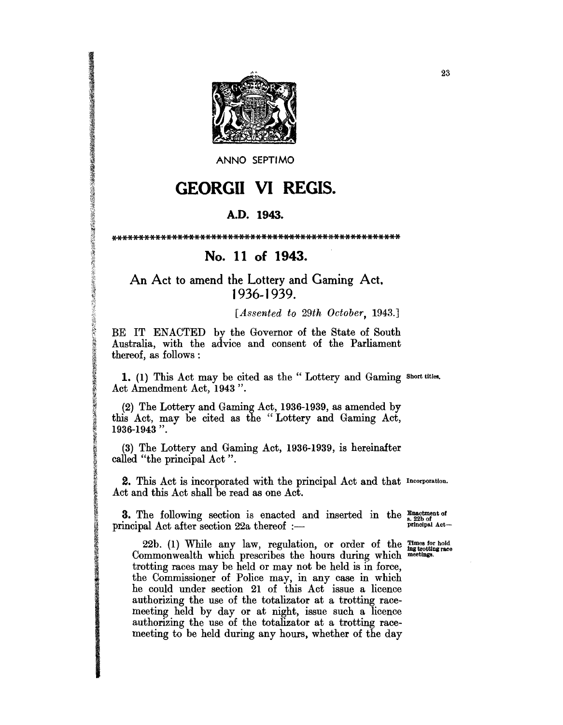

ANNO SEPTIMO

## **GEORGII VI REGIS.**

## A.D. 1943.

## No. 11 of 1943.

## An Act to amend the Lottery and Gaming Act, 1936-1939.

A THE STATE OF THE STATE OF THE STATE OF THE STATE OF THE STATE OF THE STATE OF THE STATE OF THE STATE OF THE STATE OF THE STATE OF THE STATE OF THE STATE OF THE STATE OF THE STATE OF THE STATE OF THE STATE OF THE STATE OF

[Assented to 29th October, 1943.]

BE IT ENACTED by the Governor of the State of South Australia, with the advice and consent of the Parliament thereof, as follows :

1. (1) This Act may be cited as the "Lottery and Gaming short titles.<br>Act Amendment Act, 1943 ".

(2) The Lottery and Gaming Act, 1936-1939, as amended by this Act, may be cited as the "Lottery and Gaming Act, 1936-1943".

(3) The Lottery and Gaming Act, 1936-1939, is hereinafter called "the principal Act".

2. This Act is incorporated with the principal Act and that Incorporation. Act and this Act shall be read as one Act.

**3.** The following section is enacted and inserted in the  $\frac{\text{Enaciment of}}{\text{s. 22b of}}$ <br>rincinal Act after section 22a thereof  $\cdot$ principal Act after section 22a thereof :-

22b. (1) While any law, regulation, or order of the Times for hold Commonwealth which prescribes the hours during which meetings. trotting races may be held or may not be held is in force, the Commissioner of Police may, in any case in which<br>he could under section 21 of this Act issue a licence authorizing the use of the totalizator at a trotting racemeeting held by day or at night, issue such a licence authorizing the use of the totalizator at a trotting racemeeting to be held during any hours, whether of the day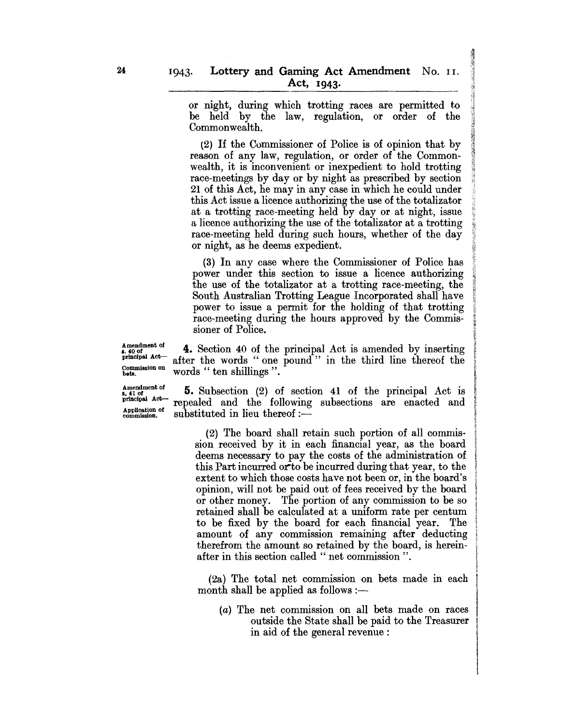or night, during which trotting races are permitted to be held by the law, regulation, or order of the Commonwealth.

 $(2)$  If the Commissioner of Police is of opinion that by reason of any law, regulation, or order of the Commonwealth, it is inconvenient or inexpedient to hold trotting race-meetings by day or by night as prescribed by section 21 of this Act, he may in any case in which he could under this Act issue a licence authorizing the use of the totalizator at a trotting race-meeting held by day or at night, issue a licence authorizing the use of the totalizator at a trotting race-meeting held during such hours, whether of the day or night, as he deems expedient.

(3) In any case where the Commissioner of Police has power under this section to issue a licence authorizing the use of the totalizator at a trotting race-meeting, the South Australian Trotting League Incorporated shall have <sup>~</sup> power to issue a permit for the holding of that trotting race-meeting during the hours approved by the Commissioner of Police.

i t f {?:  $\mathcal{L}$ *t;*  l r

> ~ ~ ~ a

re Les contra

 $_{s.40 \text{ of}}^{\text{Amendment of}}$  4. Section 40 of the principal Act is amended by inserting principal  $_{\text{A}}^{\text{tot}}$  of the words " one nound" in the third line thereof the principal  $A$ <sup>ot</sup>--- after the words "one pound" in the third line thereof the  $_{\text{heat}}^{\text{Commission on}}$  words " ten shillings ".

 $\frac{\text{Amendment of}}{\text{partical Act}}$  **5.** Subsection (2) of section 41 of the principal Act is principal  $A^{c\tau}$  repealed and the following subsections are enacted and  $A_{p}$ Application of repeated and the following

> (2) The board shall retain such portion of all commission received by it in each financial year, as the board deems necessary to pay the costs of the administration of this Part incurred or to be incurred during that year, to the extent to which those costs have not been or, in the board's opinion, will not be paid out of fees received by the board or other money. The portion of any commission to be so retained shall be calculated at a uniform rate per centum to be fixed by the board for each financial year. The amount of any commission remaining after deducting therefrom the amount so retained by the board, is hereinafter in this section called " net commission ".

> $(2a)$  The total net commission on bets made in each month shall be applied as follows  $:$ —

(a) The net commission on all bets made on races outside the State shall be paid to the Treasurer in aid of the general revenue: